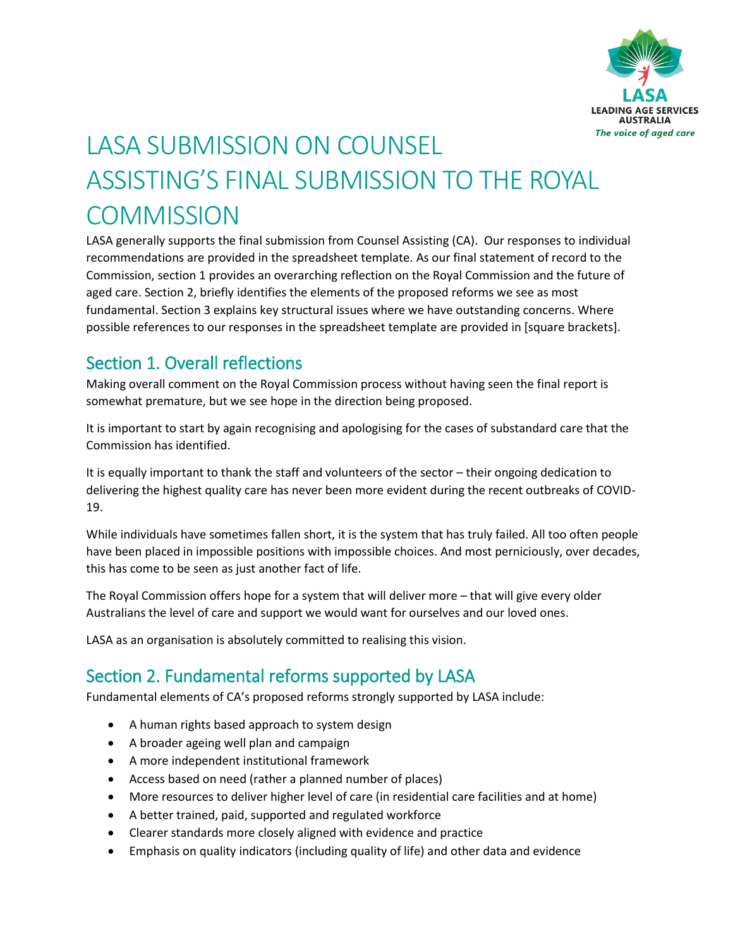

# LASA SUBMISSION ON COUNSEL ASSISTING'S FINAL SUBMISSION TO THE ROYAL **COMMISSION**

LASA generally supports the final submission from Counsel Assisting (CA). Our responses to individual recommendations are provided in the spreadsheet template. As our final statement of record to the Commission, section 1 provides an overarching reflection on the Royal Commission and the future of aged care. Section 2, briefly identifies the elements of the proposed reforms we see as most fundamental. Section 3 explains key structural issues where we have outstanding concerns. Where possible references to our responses in the spreadsheet template are provided in [square brackets].

# Section 1. Overall reflections

Making overall comment on the Royal Commission process without having seen the final report is somewhat premature, but we see hope in the direction being proposed.

It is important to start by again recognising and apologising for the cases of substandard care that the Commission has identified.

It is equally important to thank the staff and volunteers of the sector – their ongoing dedication to delivering the highest quality care has never been more evident during the recent outbreaks of COVID-19.

While individuals have sometimes fallen short, it is the system that has truly failed. All too often people have been placed in impossible positions with impossible choices. And most perniciously, over decades, this has come to be seen as just another fact of life.

The Royal Commission offers hope for a system that will deliver more – that will give every older Australians the level of care and support we would want for ourselves and our loved ones.

LASA as an organisation is absolutely committed to realising this vision.

# Section 2. Fundamental reforms supported by LASA

Fundamental elements of CA's proposed reforms strongly supported by LASA include:

- A human rights based approach to system design
- A broader ageing well plan and campaign
- A more independent institutional framework
- Access based on need (rather a planned number of places)
- More resources to deliver higher level of care (in residential care facilities and at home)
- A better trained, paid, supported and regulated workforce
- Clearer standards more closely aligned with evidence and practice
- Emphasis on quality indicators (including quality of life) and other data and evidence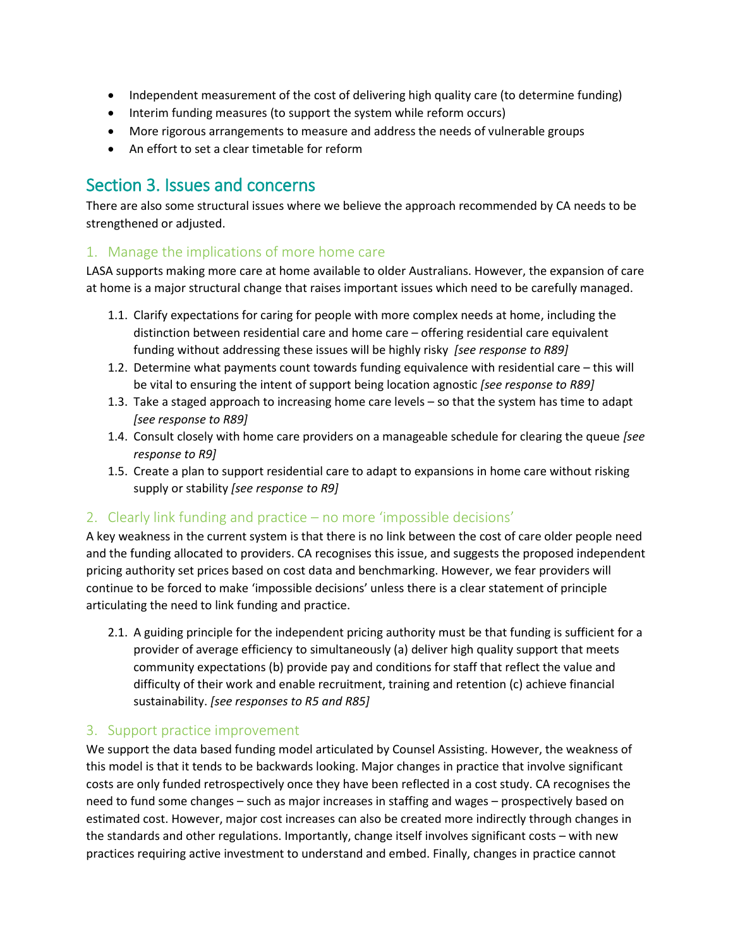- Independent measurement of the cost of delivering high quality care (to determine funding)
- Interim funding measures (to support the system while reform occurs)
- More rigorous arrangements to measure and address the needs of vulnerable groups
- An effort to set a clear timetable for reform

# Section 3. Issues and concerns

There are also some structural issues where we believe the approach recommended by CA needs to be strengthened or adjusted.

#### 1. Manage the implications of more home care

LASA supports making more care at home available to older Australians. However, the expansion of care at home is a major structural change that raises important issues which need to be carefully managed.

- 1.1. Clarify expectations for caring for people with more complex needs at home, including the distinction between residential care and home care – offering residential care equivalent funding without addressing these issues will be highly risky *[see response to R89]*
- 1.2. Determine what payments count towards funding equivalence with residential care this will be vital to ensuring the intent of support being location agnostic *[see response to R89]*
- 1.3. Take a staged approach to increasing home care levels so that the system has time to adapt *[see response to R89]*
- 1.4. Consult closely with home care providers on a manageable schedule for clearing the queue *[see response to R9]*
- 1.5. Create a plan to support residential care to adapt to expansions in home care without risking supply or stability *[see response to R9]*

#### 2. Clearly link funding and practice – no more 'impossible decisions'

A key weakness in the current system is that there is no link between the cost of care older people need and the funding allocated to providers. CA recognises this issue, and suggests the proposed independent pricing authority set prices based on cost data and benchmarking. However, we fear providers will continue to be forced to make 'impossible decisions' unless there is a clear statement of principle articulating the need to link funding and practice.

2.1. A guiding principle for the independent pricing authority must be that funding is sufficient for a provider of average efficiency to simultaneously (a) deliver high quality support that meets community expectations (b) provide pay and conditions for staff that reflect the value and difficulty of their work and enable recruitment, training and retention (c) achieve financial sustainability. *[see responses to R5 and R85]*

#### 3. Support practice improvement

We support the data based funding model articulated by Counsel Assisting. However, the weakness of this model is that it tends to be backwards looking. Major changes in practice that involve significant costs are only funded retrospectively once they have been reflected in a cost study. CA recognises the need to fund some changes – such as major increases in staffing and wages – prospectively based on estimated cost. However, major cost increases can also be created more indirectly through changes in the standards and other regulations. Importantly, change itself involves significant costs – with new practices requiring active investment to understand and embed. Finally, changes in practice cannot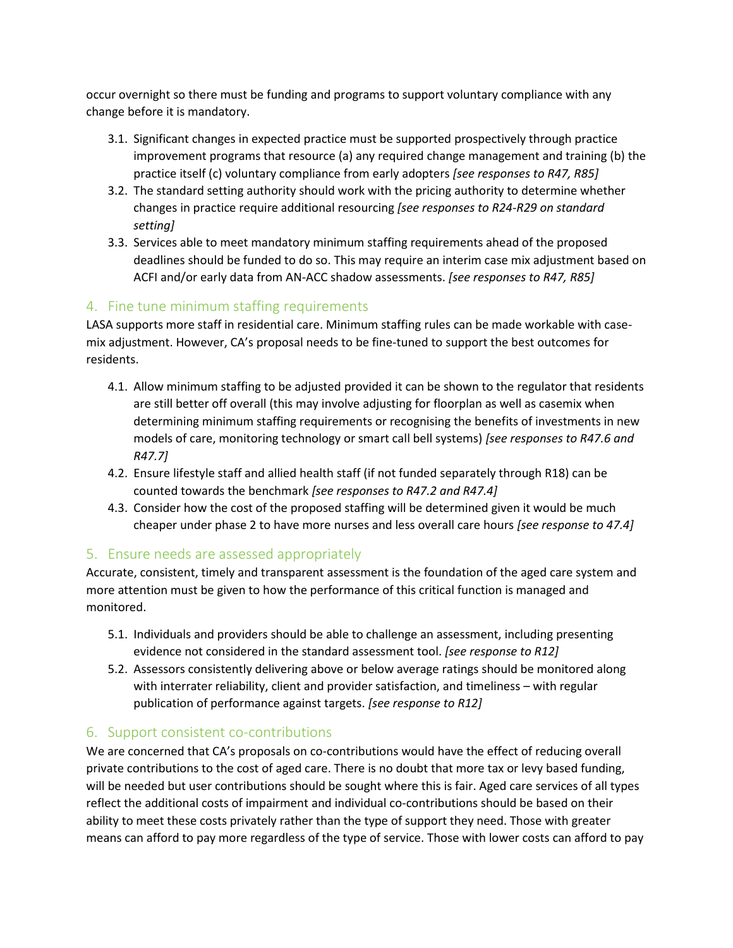occur overnight so there must be funding and programs to support voluntary compliance with any change before it is mandatory.

- 3.1. Significant changes in expected practice must be supported prospectively through practice improvement programs that resource (a) any required change management and training (b) the practice itself (c) voluntary compliance from early adopters *[see responses to R47, R85]*
- 3.2. The standard setting authority should work with the pricing authority to determine whether changes in practice require additional resourcing *[see responses to R24-R29 on standard setting]*
- 3.3. Services able to meet mandatory minimum staffing requirements ahead of the proposed deadlines should be funded to do so. This may require an interim case mix adjustment based on ACFI and/or early data from AN-ACC shadow assessments. *[see responses to R47, R85]*

### 4. Fine tune minimum staffing requirements

LASA supports more staff in residential care. Minimum staffing rules can be made workable with casemix adjustment. However, CA's proposal needs to be fine-tuned to support the best outcomes for residents.

- 4.1. Allow minimum staffing to be adjusted provided it can be shown to the regulator that residents are still better off overall (this may involve adjusting for floorplan as well as casemix when determining minimum staffing requirements or recognising the benefits of investments in new models of care, monitoring technology or smart call bell systems) *[see responses to R47.6 and R47.7]*
- 4.2. Ensure lifestyle staff and allied health staff (if not funded separately through R18) can be counted towards the benchmark *[see responses to R47.2 and R47.4]*
- 4.3. Consider how the cost of the proposed staffing will be determined given it would be much cheaper under phase 2 to have more nurses and less overall care hours *[see response to 47.4]*

#### 5. Ensure needs are assessed appropriately

Accurate, consistent, timely and transparent assessment is the foundation of the aged care system and more attention must be given to how the performance of this critical function is managed and monitored.

- 5.1. Individuals and providers should be able to challenge an assessment, including presenting evidence not considered in the standard assessment tool. *[see response to R12]*
- 5.2. Assessors consistently delivering above or below average ratings should be monitored along with interrater reliability, client and provider satisfaction, and timeliness – with regular publication of performance against targets. *[see response to R12]*

#### 6. Support consistent co-contributions

We are concerned that CA's proposals on co-contributions would have the effect of reducing overall private contributions to the cost of aged care. There is no doubt that more tax or levy based funding, will be needed but user contributions should be sought where this is fair. Aged care services of all types reflect the additional costs of impairment and individual co-contributions should be based on their ability to meet these costs privately rather than the type of support they need. Those with greater means can afford to pay more regardless of the type of service. Those with lower costs can afford to pay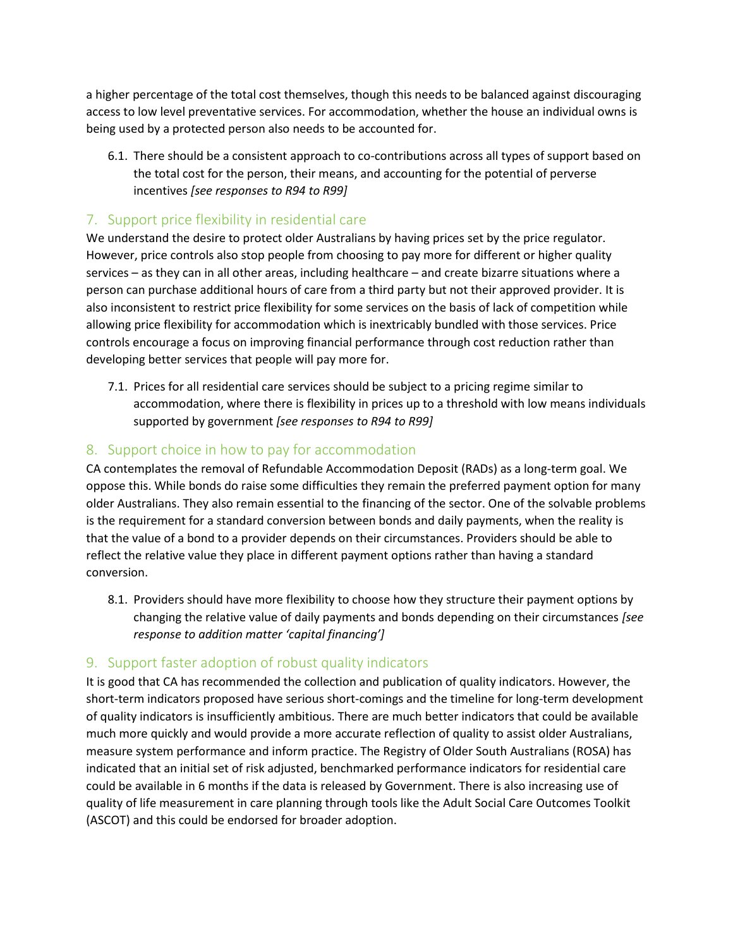a higher percentage of the total cost themselves, though this needs to be balanced against discouraging access to low level preventative services. For accommodation, whether the house an individual owns is being used by a protected person also needs to be accounted for.

6.1. There should be a consistent approach to co-contributions across all types of support based on the total cost for the person, their means, and accounting for the potential of perverse incentives *[see responses to R94 to R99]*

#### 7. Support price flexibility in residential care

We understand the desire to protect older Australians by having prices set by the price regulator. However, price controls also stop people from choosing to pay more for different or higher quality services – as they can in all other areas, including healthcare – and create bizarre situations where a person can purchase additional hours of care from a third party but not their approved provider. It is also inconsistent to restrict price flexibility for some services on the basis of lack of competition while allowing price flexibility for accommodation which is inextricably bundled with those services. Price controls encourage a focus on improving financial performance through cost reduction rather than developing better services that people will pay more for.

7.1. Prices for all residential care services should be subject to a pricing regime similar to accommodation, where there is flexibility in prices up to a threshold with low means individuals supported by government *[see responses to R94 to R99]*

#### 8. Support choice in how to pay for accommodation

CA contemplates the removal of Refundable Accommodation Deposit (RADs) as a long-term goal. We oppose this. While bonds do raise some difficulties they remain the preferred payment option for many older Australians. They also remain essential to the financing of the sector. One of the solvable problems is the requirement for a standard conversion between bonds and daily payments, when the reality is that the value of a bond to a provider depends on their circumstances. Providers should be able to reflect the relative value they place in different payment options rather than having a standard conversion.

8.1. Providers should have more flexibility to choose how they structure their payment options by changing the relative value of daily payments and bonds depending on their circumstances *[see response to addition matter 'capital financing']*

#### 9. Support faster adoption of robust quality indicators

It is good that CA has recommended the collection and publication of quality indicators. However, the short-term indicators proposed have serious short-comings and the timeline for long-term development of quality indicators is insufficiently ambitious. There are much better indicators that could be available much more quickly and would provide a more accurate reflection of quality to assist older Australians, measure system performance and inform practice. The Registry of Older South Australians (ROSA) has indicated that an initial set of risk adjusted, benchmarked performance indicators for residential care could be available in 6 months if the data is released by Government. There is also increasing use of quality of life measurement in care planning through tools like the Adult Social Care Outcomes Toolkit (ASCOT) and this could be endorsed for broader adoption.